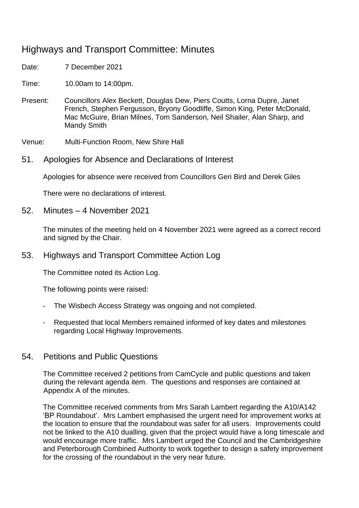# Highways and Transport Committee: Minutes

Date: 7 December 2021

Time: 10.00am to 14:00pm.

Present: Councillors Alex Beckett, Douglas Dew, Piers Coutts, Lorna Dupre, Janet French, Stephen Fergusson, Bryony Goodliffe, Simon King, Peter McDonald, Mac McGuire, Brian Milnes, Tom Sanderson, Neil Shailer, Alan Sharp, and Mandy Smith

Venue: Multi-Function Room, New Shire Hall

### 51. Apologies for Absence and Declarations of Interest

Apologies for absence were received from Councillors Geri Bird and Derek Giles

There were no declarations of interest.

#### 52. Minutes – 4 November 2021

The minutes of the meeting held on 4 November 2021 were agreed as a correct record and signed by the Chair.

### 53. Highways and Transport Committee Action Log

The Committee noted its Action Log.

The following points were raised:

- The Wisbech Access Strategy was ongoing and not completed.
- Requested that local Members remained informed of key dates and milestones regarding Local Highway Improvements.

### 54. Petitions and Public Questions

The Committee received 2 petitions from CamCycle and public questions and taken during the relevant agenda item. The questions and responses are contained at Appendix A of the minutes.

The Committee received comments from Mrs Sarah Lambert regarding the A10/A142 'BP Roundabout'. Mrs Lambert emphasised the urgent need for improvement works at the location to ensure that the roundabout was safer for all users. Improvements could not be linked to the A10 dualling, given that the project would have a long timescale and would encourage more traffic. Mrs Lambert urged the Council and the Cambridgeshire and Peterborough Combined Authority to work together to design a safety improvement for the crossing of the roundabout in the very near future.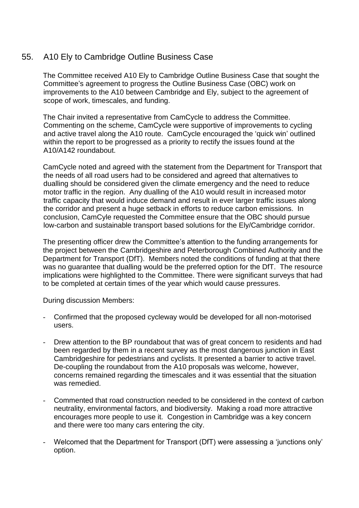## 55. A10 Ely to Cambridge Outline Business Case

The Committee received A10 Ely to Cambridge Outline Business Case that sought the Committee's agreement to progress the Outline Business Case (OBC) work on improvements to the A10 between Cambridge and Ely, subject to the agreement of scope of work, timescales, and funding.

The Chair invited a representative from CamCycle to address the Committee. Commenting on the scheme, CamCycle were supportive of improvements to cycling and active travel along the A10 route. CamCycle encouraged the 'quick win' outlined within the report to be progressed as a priority to rectify the issues found at the A10/A142 roundabout.

CamCycle noted and agreed with the statement from the Department for Transport that the needs of all road users had to be considered and agreed that alternatives to dualling should be considered given the climate emergency and the need to reduce motor traffic in the region. Any dualling of the A10 would result in increased motor traffic capacity that would induce demand and result in ever larger traffic issues along the corridor and present a huge setback in efforts to reduce carbon emissions. In conclusion, CamCyle requested the Committee ensure that the OBC should pursue low-carbon and sustainable transport based solutions for the Ely/Cambridge corridor.

The presenting officer drew the Committee's attention to the funding arrangements for the project between the Cambridgeshire and Peterborough Combined Authority and the Department for Transport (DfT). Members noted the conditions of funding at that there was no guarantee that dualling would be the preferred option for the DfT. The resource implications were highlighted to the Committee. There were significant surveys that had to be completed at certain times of the year which would cause pressures.

During discussion Members:

- Confirmed that the proposed cycleway would be developed for all non-motorised users.
- Drew attention to the BP roundabout that was of great concern to residents and had been regarded by them in a recent survey as the most dangerous junction in East Cambridgeshire for pedestrians and cyclists. It presented a barrier to active travel. De-coupling the roundabout from the A10 proposals was welcome, however, concerns remained regarding the timescales and it was essential that the situation was remedied.
- Commented that road construction needed to be considered in the context of carbon neutrality, environmental factors, and biodiversity. Making a road more attractive encourages more people to use it. Congestion in Cambridge was a key concern and there were too many cars entering the city.
- Welcomed that the Department for Transport (DfT) were assessing a 'junctions only' option.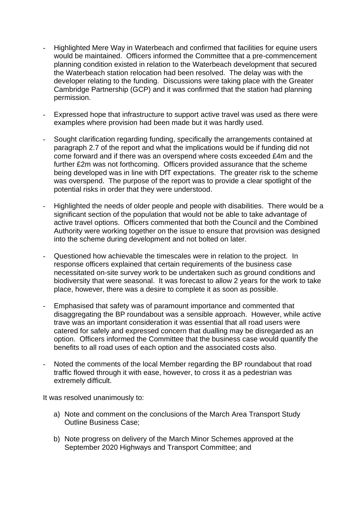- Highlighted Mere Way in Waterbeach and confirmed that facilities for equine users would be maintained. Officers informed the Committee that a pre-commencement planning condition existed in relation to the Waterbeach development that secured the Waterbeach station relocation had been resolved. The delay was with the developer relating to the funding. Discussions were taking place with the Greater Cambridge Partnership (GCP) and it was confirmed that the station had planning permission.
- Expressed hope that infrastructure to support active travel was used as there were examples where provision had been made but it was hardly used.
- Sought clarification regarding funding, specifically the arrangements contained at paragraph 2.7 of the report and what the implications would be if funding did not come forward and if there was an overspend where costs exceeded £4m and the further £2m was not forthcoming. Officers provided assurance that the scheme being developed was in line with DfT expectations. The greater risk to the scheme was overspend. The purpose of the report was to provide a clear spotlight of the potential risks in order that they were understood.
- Highlighted the needs of older people and people with disabilities. There would be a significant section of the population that would not be able to take advantage of active travel options. Officers commented that both the Council and the Combined Authority were working together on the issue to ensure that provision was designed into the scheme during development and not bolted on later.
- Questioned how achievable the timescales were in relation to the project. In response officers explained that certain requirements of the business case necessitated on-site survey work to be undertaken such as ground conditions and biodiversity that were seasonal. It was forecast to allow 2 years for the work to take place, however, there was a desire to complete it as soon as possible.
- Emphasised that safety was of paramount importance and commented that disaggregating the BP roundabout was a sensible approach. However, while active trave was an important consideration it was essential that all road users were catered for safely and expressed concern that dualling may be disregarded as an option. Officers informed the Committee that the business case would quantify the benefits to all road uses of each option and the associated costs also.
- Noted the comments of the local Member regarding the BP roundabout that road traffic flowed through it with ease, however, to cross it as a pedestrian was extremely difficult.

It was resolved unanimously to:

- a) Note and comment on the conclusions of the March Area Transport Study Outline Business Case;
- b) Note progress on delivery of the March Minor Schemes approved at the September 2020 Highways and Transport Committee; and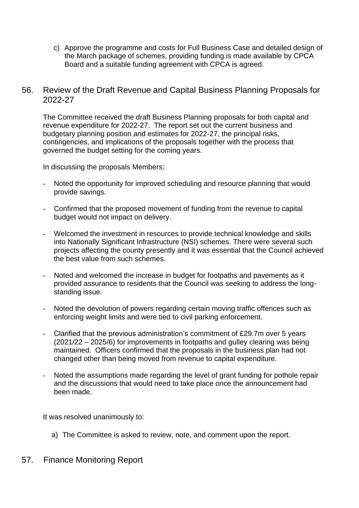- c) Approve the programme and costs for Full Business Case and detailed design of the March package of schemes, providing funding is made available by CPCA Board and a suitable funding agreement with CPCA is agreed.
- 56. Review of the Draft Revenue and Capital Business Planning Proposals for 2022-27

The Committee received the draft Business Planning proposals for both capital and revenue expenditure for 2022-27. The report set out the current business and budgetary planning position and estimates for 2022-27, the principal risks, contingencies, and implications of the proposals together with the process that governed the budget setting for the coming years.

In discussing the proposals Members:

- Noted the opportunity for improved scheduling and resource planning that would provide savings.
- Confirmed that the proposed movement of funding from the revenue to capital budget would not impact on delivery.
- Welcomed the investment in resources to provide technical knowledge and skills into Nationally Significant Infrastructure (NSI) schemes. There were several such projects affecting the county presently and it was essential that the Council achieved the best value from such schemes.
- Noted and welcomed the increase in budget for footpaths and pavements as it provided assurance to residents that the Council was seeking to address the longstanding issue.
- Noted the devolution of powers regarding certain moving traffic offences such as enforcing weight limits and were tied to civil parking enforcement.
- Clarified that the previous administration's commitment of £29.7m over 5 years (2021/22 – 2025/6) for improvements in footpaths and gulley clearing was being maintained. Officers confirmed that the proposals in the business plan had not changed other than being moved from revenue to capital expenditure.
- Noted the assumptions made regarding the level of grant funding for pothole repair and the discussions that would need to take place once the announcement had been made.

It was resolved unanimously to:

- a) The Committee is asked to review, note, and comment upon the report.
- 57. Finance Monitoring Report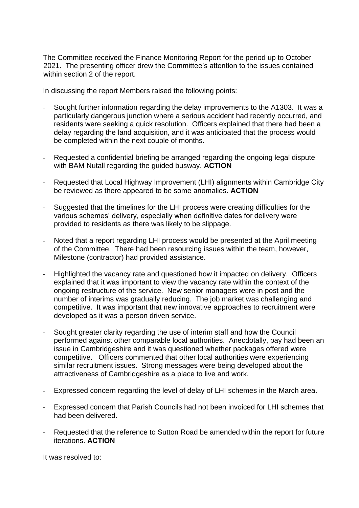The Committee received the Finance Monitoring Report for the period up to October 2021. The presenting officer drew the Committee's attention to the issues contained within section 2 of the report.

In discussing the report Members raised the following points:

- Sought further information regarding the delay improvements to the A1303. It was a particularly dangerous junction where a serious accident had recently occurred, and residents were seeking a quick resolution. Officers explained that there had been a delay regarding the land acquisition, and it was anticipated that the process would be completed within the next couple of months.
- Requested a confidential briefing be arranged regarding the ongoing legal dispute with BAM Nutall regarding the guided busway. **ACTION**
- Requested that Local Highway Improvement (LHI) alignments within Cambridge City be reviewed as there appeared to be some anomalies. **ACTION**
- Suggested that the timelines for the LHI process were creating difficulties for the various schemes' delivery, especially when definitive dates for delivery were provided to residents as there was likely to be slippage.
- Noted that a report regarding LHI process would be presented at the April meeting of the Committee. There had been resourcing issues within the team, however, Milestone (contractor) had provided assistance.
- Highlighted the vacancy rate and questioned how it impacted on delivery. Officers explained that it was important to view the vacancy rate within the context of the ongoing restructure of the service. New senior managers were in post and the number of interims was gradually reducing. The job market was challenging and competitive. It was important that new innovative approaches to recruitment were developed as it was a person driven service.
- Sought greater clarity regarding the use of interim staff and how the Council performed against other comparable local authorities. Anecdotally, pay had been an issue in Cambridgeshire and it was questioned whether packages offered were competitive. Officers commented that other local authorities were experiencing similar recruitment issues. Strong messages were being developed about the attractiveness of Cambridgeshire as a place to live and work.
- Expressed concern regarding the level of delay of LHI schemes in the March area.
- Expressed concern that Parish Councils had not been invoiced for LHI schemes that had been delivered.
- Requested that the reference to Sutton Road be amended within the report for future iterations. **ACTION**

It was resolved to: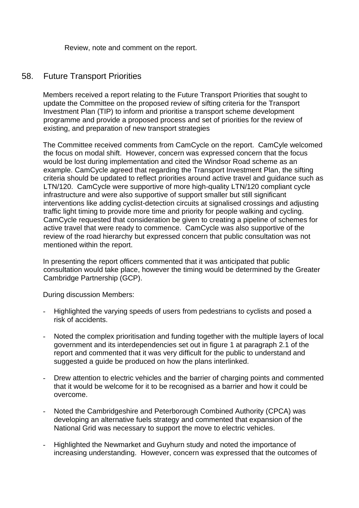Review, note and comment on the report.

### 58. Future Transport Priorities

Members received a report relating to the Future Transport Priorities that sought to update the Committee on the proposed review of sifting criteria for the Transport Investment Plan (TIP) to inform and prioritise a transport scheme development programme and provide a proposed process and set of priorities for the review of existing, and preparation of new transport strategies

The Committee received comments from CamCycle on the report. CamCyle welcomed the focus on modal shift. However, concern was expressed concern that the focus would be lost during implementation and cited the Windsor Road scheme as an example. CamCycle agreed that regarding the Transport Investment Plan, the sifting criteria should be updated to reflect priorities around active travel and guidance such as LTN/120. CamCycle were supportive of more high-quality LTN/120 compliant cycle infrastructure and were also supportive of support smaller but still significant interventions like adding cyclist-detection circuits at signalised crossings and adjusting traffic light timing to provide more time and priority for people walking and cycling. CamCycle requested that consideration be given to creating a pipeline of schemes for active travel that were ready to commence. CamCycle was also supportive of the review of the road hierarchy but expressed concern that public consultation was not mentioned within the report.

In presenting the report officers commented that it was anticipated that public consultation would take place, however the timing would be determined by the Greater Cambridge Partnership (GCP).

During discussion Members:

- Highlighted the varying speeds of users from pedestrians to cyclists and posed a risk of accidents.
- Noted the complex prioritisation and funding together with the multiple layers of local government and its interdependencies set out in figure 1 at paragraph 2.1 of the report and commented that it was very difficult for the public to understand and suggested a guide be produced on how the plans interlinked.
- Drew attention to electric vehicles and the barrier of charging points and commented that it would be welcome for it to be recognised as a barrier and how it could be overcome.
- Noted the Cambridgeshire and Peterborough Combined Authority (CPCA) was developing an alternative fuels strategy and commented that expansion of the National Grid was necessary to support the move to electric vehicles.
- Highlighted the Newmarket and Guyhurn study and noted the importance of increasing understanding. However, concern was expressed that the outcomes of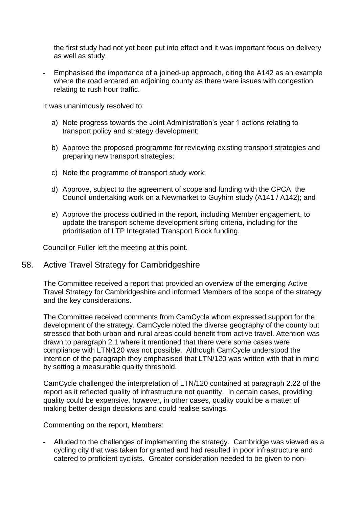the first study had not yet been put into effect and it was important focus on delivery as well as study.

- Emphasised the importance of a joined-up approach, citing the A142 as an example where the road entered an adjoining county as there were issues with congestion relating to rush hour traffic.

It was unanimously resolved to:

- a) Note progress towards the Joint Administration's year 1 actions relating to transport policy and strategy development;
- b) Approve the proposed programme for reviewing existing transport strategies and preparing new transport strategies;
- c) Note the programme of transport study work;
- d) Approve, subject to the agreement of scope and funding with the CPCA, the Council undertaking work on a Newmarket to Guyhirn study (A141 / A142); and
- e) Approve the process outlined in the report, including Member engagement, to update the transport scheme development sifting criteria, including for the prioritisation of LTP Integrated Transport Block funding.

Councillor Fuller left the meeting at this point.

### 58. Active Travel Strategy for Cambridgeshire

The Committee received a report that provided an overview of the emerging Active Travel Strategy for Cambridgeshire and informed Members of the scope of the strategy and the key considerations.

The Committee received comments from CamCycle whom expressed support for the development of the strategy. CamCycle noted the diverse geography of the county but stressed that both urban and rural areas could benefit from active travel. Attention was drawn to paragraph 2.1 where it mentioned that there were some cases were compliance with LTN/120 was not possible. Although CamCycle understood the intention of the paragraph they emphasised that LTN/120 was written with that in mind by setting a measurable quality threshold.

CamCycle challenged the interpretation of LTN/120 contained at paragraph 2.22 of the report as it reflected quality of infrastructure not quantity. In certain cases, providing quality could be expensive, however, in other cases, quality could be a matter of making better design decisions and could realise savings.

Commenting on the report, Members:

- Alluded to the challenges of implementing the strategy. Cambridge was viewed as a cycling city that was taken for granted and had resulted in poor infrastructure and catered to proficient cyclists. Greater consideration needed to be given to non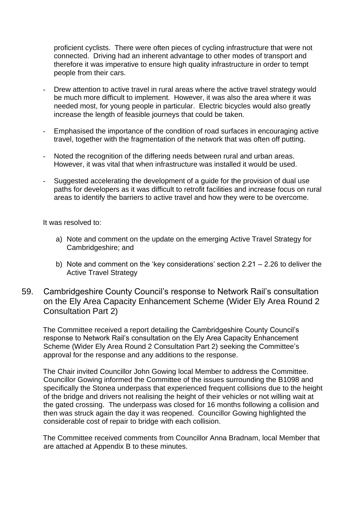proficient cyclists. There were often pieces of cycling infrastructure that were not connected. Driving had an inherent advantage to other modes of transport and therefore it was imperative to ensure high quality infrastructure in order to tempt people from their cars.

- Drew attention to active travel in rural areas where the active travel strategy would be much more difficult to implement. However, it was also the area where it was needed most, for young people in particular. Electric bicycles would also greatly increase the length of feasible journeys that could be taken.
- Emphasised the importance of the condition of road surfaces in encouraging active travel, together with the fragmentation of the network that was often off putting.
- Noted the recognition of the differing needs between rural and urban areas. However, it was vital that when infrastructure was installed it would be used.
- Suggested accelerating the development of a guide for the provision of dual use paths for developers as it was difficult to retrofit facilities and increase focus on rural areas to identify the barriers to active travel and how they were to be overcome.

It was resolved to:

- a) Note and comment on the update on the emerging Active Travel Strategy for Cambridgeshire; and
- b) Note and comment on the 'key considerations' section 2.21 2.26 to deliver the Active Travel Strategy
- 59. Cambridgeshire County Council's response to Network Rail's consultation on the Ely Area Capacity Enhancement Scheme (Wider Ely Area Round 2 Consultation Part 2)

The Committee received a report detailing the Cambridgeshire County Council's response to Network Rail's consultation on the Ely Area Capacity Enhancement Scheme (Wider Ely Area Round 2 Consultation Part 2) seeking the Committee's approval for the response and any additions to the response.

The Chair invited Councillor John Gowing local Member to address the Committee. Councillor Gowing informed the Committee of the issues surrounding the B1098 and specifically the Stonea underpass that experienced frequent collisions due to the height of the bridge and drivers not realising the height of their vehicles or not willing wait at the gated crossing. The underpass was closed for 16 months following a collision and then was struck again the day it was reopened. Councillor Gowing highlighted the considerable cost of repair to bridge with each collision.

The Committee received comments from Councillor Anna Bradnam, local Member that are attached at Appendix B to these minutes.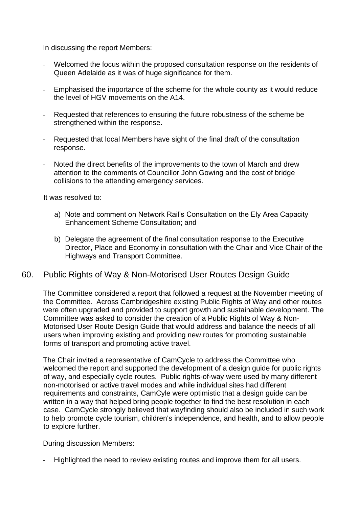In discussing the report Members:

- Welcomed the focus within the proposed consultation response on the residents of Queen Adelaide as it was of huge significance for them.
- Emphasised the importance of the scheme for the whole county as it would reduce the level of HGV movements on the A14.
- Requested that references to ensuring the future robustness of the scheme be strengthened within the response.
- Requested that local Members have sight of the final draft of the consultation response.
- Noted the direct benefits of the improvements to the town of March and drew attention to the comments of Councillor John Gowing and the cost of bridge collisions to the attending emergency services.

It was resolved to:

- a) Note and comment on Network Rail's Consultation on the Ely Area Capacity Enhancement Scheme Consultation; and
- b) Delegate the agreement of the final consultation response to the Executive Director, Place and Economy in consultation with the Chair and Vice Chair of the Highways and Transport Committee.

### 60. Public Rights of Way & Non-Motorised User Routes Design Guide

The Committee considered a report that followed a request at the November meeting of the Committee. Across Cambridgeshire existing Public Rights of Way and other routes were often upgraded and provided to support growth and sustainable development. The Committee was asked to consider the creation of a Public Rights of Way & Non-Motorised User Route Design Guide that would address and balance the needs of all users when improving existing and providing new routes for promoting sustainable forms of transport and promoting active travel.

The Chair invited a representative of CamCycle to address the Committee who welcomed the report and supported the development of a design guide for public rights of way, and especially cycle routes. Public rights-of-way were used by many different non-motorised or active travel modes and while individual sites had different requirements and constraints, CamCyle were optimistic that a design guide can be written in a way that helped bring people together to find the best resolution in each case. CamCycle strongly believed that wayfinding should also be included in such work to help promote cycle tourism, children's independence, and health, and to allow people to explore further.

During discussion Members:

Highlighted the need to review existing routes and improve them for all users.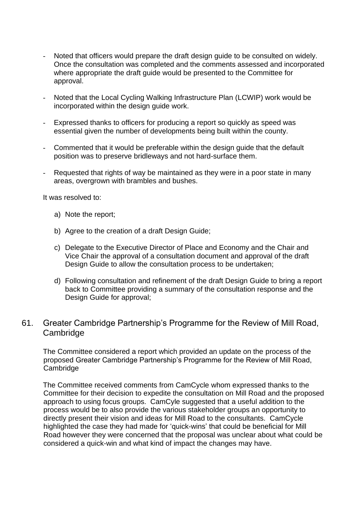- Noted that officers would prepare the draft design guide to be consulted on widely. Once the consultation was completed and the comments assessed and incorporated where appropriate the draft guide would be presented to the Committee for approval.
- Noted that the Local Cycling Walking Infrastructure Plan (LCWIP) work would be incorporated within the design guide work.
- Expressed thanks to officers for producing a report so quickly as speed was essential given the number of developments being built within the county.
- Commented that it would be preferable within the design guide that the default position was to preserve bridleways and not hard-surface them.
- Requested that rights of way be maintained as they were in a poor state in many areas, overgrown with brambles and bushes.

It was resolved to:

- a) Note the report;
- b) Agree to the creation of a draft Design Guide;
- c) Delegate to the Executive Director of Place and Economy and the Chair and Vice Chair the approval of a consultation document and approval of the draft Design Guide to allow the consultation process to be undertaken;
- d) Following consultation and refinement of the draft Design Guide to bring a report back to Committee providing a summary of the consultation response and the Design Guide for approval;

### 61. Greater Cambridge Partnership's Programme for the Review of Mill Road, **Cambridge**

The Committee considered a report which provided an update on the process of the proposed Greater Cambridge Partnership's Programme for the Review of Mill Road, Cambridge

The Committee received comments from CamCycle whom expressed thanks to the Committee for their decision to expedite the consultation on Mill Road and the proposed approach to using focus groups. CamCyle suggested that a useful addition to the process would be to also provide the various stakeholder groups an opportunity to directly present their vision and ideas for Mill Road to the consultants. CamCycle highlighted the case they had made for 'quick-wins' that could be beneficial for Mill Road however they were concerned that the proposal was unclear about what could be considered a quick-win and what kind of impact the changes may have.